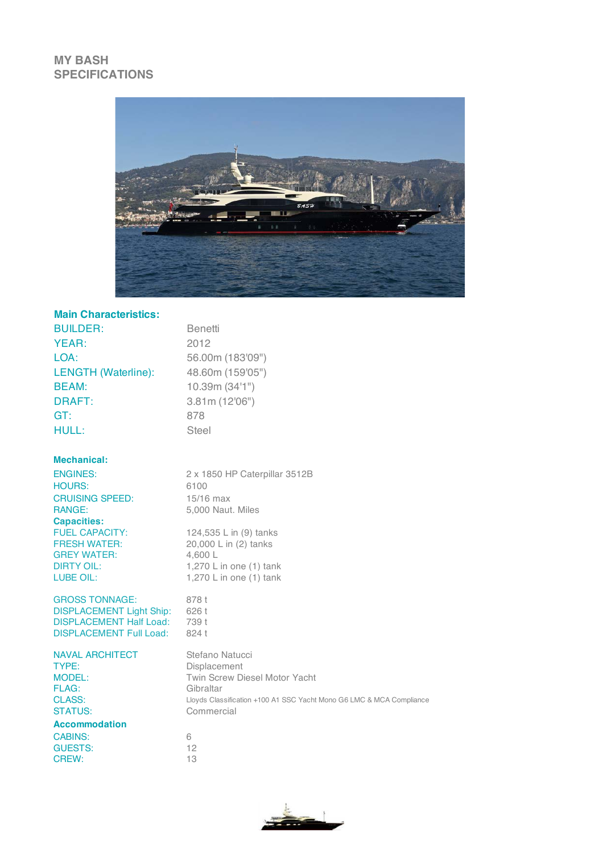## **MY BASH SPECIFICATIONS**



## **Main Characteristics:**

| <b>BUILDER:</b>            | Benetti          |
|----------------------------|------------------|
| YEAR:                      | 2012             |
| LOA:                       | 56.00m (183'09") |
| <b>LENGTH (Waterline):</b> | 48.60m (159'05") |
| <b>BEAM:</b>               | 10.39m (34'1")   |
| <b>DRAFT:</b>              | 3.81m(12'06")    |
| GT:                        | 878              |
| <b>HULL:</b>               | <b>Steel</b>     |
|                            |                  |
|                            |                  |

## **Mechanical:**

| <b>ENGINES:</b>        | 2 x 1850 HP Caterpillar 3512B |
|------------------------|-------------------------------|
| <b>HOURS:</b>          | 6100                          |
| <b>CRUISING SPEED:</b> | $15/16$ max                   |
| <b>RANGE:</b>          | 5,000 Naut. Miles             |
| <b>Capacities:</b>     |                               |
| <b>FUEL CAPACITY:</b>  | 124,535 L in (9) tanks        |
| <b>FRESH WATER:</b>    | 20,000 L in (2) tanks         |
| <b>GREY WATER:</b>     | 4,600 L                       |
| <b>DIRTY OIL:</b>      | 1,270 L in one $(1)$ tank     |
| LUBE OIL:              | 1,270 L in one $(1)$ tank     |
|                        |                               |

GROSS TONNAGE: 878 t DISPLACEMENT Light Ship: 626 t DISPLACEMENT Half Load: 739 t DISPLACEMENT Full Load: 824 t

| <b>NAVAL ARCHITECT</b> | Stefano Natucci                                                      |
|------------------------|----------------------------------------------------------------------|
| TYPE:                  | <b>Displacement</b>                                                  |
| <b>MODEL:</b>          | <b>Twin Screw Diesel Motor Yacht</b>                                 |
| FLAG:                  | Gibraltar                                                            |
| CLASS:                 | Lloyds Classification +100 A1 SSC Yacht Mono G6 LMC & MCA Compliance |
| <b>STATUS:</b>         | Commercial                                                           |
| <b>Accommodation</b>   |                                                                      |
| <b>CABINS:</b>         | 6                                                                    |
| GUESTS:                | 12                                                                   |
| CREW:                  | 13                                                                   |
|                        |                                                                      |

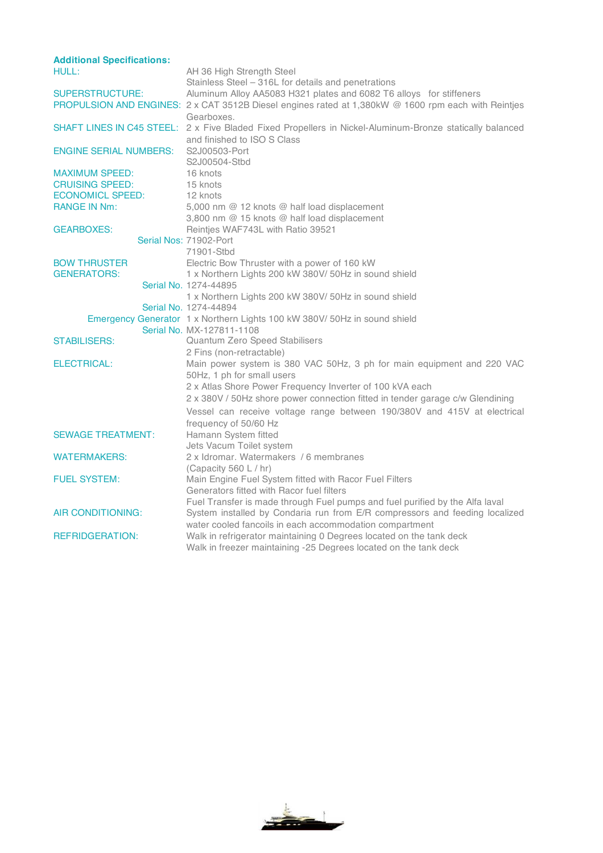| <b>Additional Specifications:</b> |                                                                                                          |
|-----------------------------------|----------------------------------------------------------------------------------------------------------|
| <b>HULL:</b>                      | AH 36 High Strength Steel                                                                                |
|                                   | Stainless Steel - 316L for details and penetrations                                                      |
| <b>SUPERSTRUCTURE:</b>            | Aluminum Alloy AA5083 H321 plates and 6082 T6 alloys for stiffeners                                      |
|                                   | PROPULSION AND ENGINES: 2 x CAT 3512B Diesel engines rated at 1,380kW @ 1600 rpm each with Reintjes      |
|                                   | Gearboxes.                                                                                               |
|                                   | SHAFT LINES IN C45 STEEL: 2 x Five Bladed Fixed Propellers in Nickel-Aluminum-Bronze statically balanced |
|                                   | and finished to ISO S Class                                                                              |
| <b>ENGINE SERIAL NUMBERS:</b>     | S2J00503-Port                                                                                            |
|                                   | S2J00504-Stbd                                                                                            |
| <b>MAXIMUM SPEED:</b>             | 16 knots                                                                                                 |
| <b>CRUISING SPEED:</b>            | 15 knots                                                                                                 |
| <b>ECONOMICL SPEED:</b>           | 12 knots                                                                                                 |
| <b>RANGE IN Nm:</b>               | 5.000 nm @ 12 knots @ half load displacement                                                             |
|                                   | 3,800 nm @ 15 knots @ half load displacement                                                             |
| <b>GEARBOXES:</b>                 | Reinties WAF743L with Ratio 39521                                                                        |
|                                   | Serial Nos: 71902-Port                                                                                   |
|                                   | 71901-Stbd                                                                                               |
| <b>BOW THRUSTER</b>               | Electric Bow Thruster with a power of 160 kW                                                             |
| <b>GENERATORS:</b>                | 1 x Northern Lights 200 kW 380V/ 50Hz in sound shield                                                    |
|                                   | Serial No. 1274-44895                                                                                    |
|                                   | 1 x Northern Lights 200 kW 380V/ 50Hz in sound shield                                                    |
|                                   | Serial No. 1274-44894                                                                                    |
|                                   | Emergency Generator 1 x Northern Lights 100 kW 380V/ 50Hz in sound shield                                |
|                                   | Serial No. MX-127811-1108                                                                                |
| <b>STABILISERS:</b>               | Quantum Zero Speed Stabilisers                                                                           |
|                                   | 2 Fins (non-retractable)                                                                                 |
| <b>ELECTRICAL:</b>                | Main power system is 380 VAC 50Hz, 3 ph for main equipment and 220 VAC                                   |
|                                   | 50Hz, 1 ph for small users                                                                               |
|                                   | 2 x Atlas Shore Power Frequency Inverter of 100 kVA each                                                 |
|                                   | 2 x 380V / 50Hz shore power connection fitted in tender garage c/w Glendining                            |
|                                   |                                                                                                          |
|                                   | Vessel can receive voltage range between 190/380V and 415V at electrical                                 |
|                                   | frequency of 50/60 Hz                                                                                    |
| <b>SEWAGE TREATMENT:</b>          | Hamann System fitted                                                                                     |
|                                   | Jets Vacum Toilet system                                                                                 |
| <b>WATERMAKERS:</b>               | 2 x Idromar, Watermakers / 6 membranes                                                                   |
|                                   | (Capacity 560 L / hr)                                                                                    |
| <b>FUEL SYSTEM:</b>               | Main Engine Fuel System fitted with Racor Fuel Filters                                                   |
|                                   | Generators fitted with Racor fuel filters                                                                |
|                                   | Fuel Transfer is made through Fuel pumps and fuel purified by the Alfa laval                             |
| AIR CONDITIONING:                 | System installed by Condaria run from E/R compressors and feeding localized                              |
|                                   | water cooled fancoils in each accommodation compartment                                                  |
| <b>REFRIDGERATION:</b>            | Walk in refrigerator maintaining 0 Degrees located on the tank deck                                      |
|                                   | Walk in freezer maintaining -25 Degrees located on the tank deck                                         |

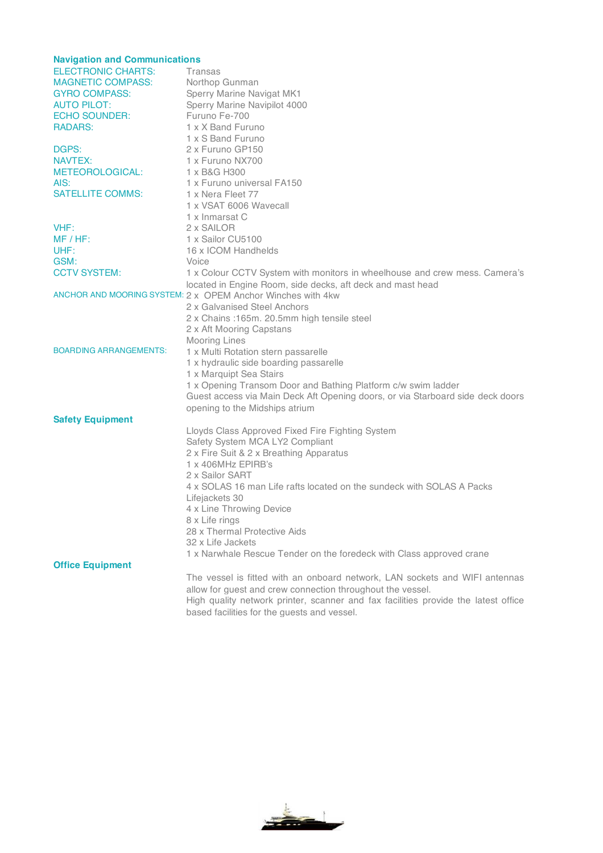| <b>Navigation and Communications</b> |                                                                                    |  |
|--------------------------------------|------------------------------------------------------------------------------------|--|
| <b>ELECTRONIC CHARTS:</b>            | Transas                                                                            |  |
| <b>MAGNETIC COMPASS:</b>             | Northop Gunman                                                                     |  |
| <b>GYRO COMPASS:</b>                 | Sperry Marine Navigat MK1                                                          |  |
| <b>AUTO PILOT:</b>                   | Sperry Marine Navipilot 4000                                                       |  |
| <b>ECHO SOUNDER:</b>                 | Furuno Fe-700                                                                      |  |
| RADARS:                              | 1 x X Band Furuno                                                                  |  |
|                                      | 1 x S Band Furuno                                                                  |  |
| DGPS:                                | 2 x Furuno GP150                                                                   |  |
| NAVTEX:                              | 1 x Furuno NX700                                                                   |  |
| METEOROLOGICAL:                      | 1 x B&G H300                                                                       |  |
| AIS:                                 | 1 x Furuno universal FA150                                                         |  |
| <b>SATELLITE COMMS:</b>              | 1 x Nera Fleet 77                                                                  |  |
|                                      | 1 x VSAT 6006 Wavecall                                                             |  |
|                                      | 1 x Inmarsat C                                                                     |  |
| VHF:                                 | 2 x SAILOR                                                                         |  |
| $MF / HF$ :                          | 1 x Sailor CU5100                                                                  |  |
| UHF:                                 | 16 x ICOM Handhelds                                                                |  |
| GSM:                                 | Voice                                                                              |  |
| <b>CCTV SYSTEM:</b>                  | 1 x Colour CCTV System with monitors in wheelhouse and crew mess. Camera's         |  |
|                                      | located in Engine Room, side decks, aft deck and mast head                         |  |
|                                      | ANCHOR AND MOORING SYSTEM: 2 x OPEM Anchor Winches with 4kw                        |  |
|                                      | 2 x Galvanised Steel Anchors                                                       |  |
|                                      | 2 x Chains : 165m. 20.5mm high tensile steel                                       |  |
|                                      | 2 x Aft Mooring Capstans                                                           |  |
|                                      | <b>Mooring Lines</b>                                                               |  |
| <b>BOARDING ARRANGEMENTS:</b>        | 1 x Multi Rotation stern passarelle                                                |  |
|                                      | 1 x hydraulic side boarding passarelle                                             |  |
|                                      | 1 x Marquipt Sea Stairs                                                            |  |
|                                      | 1 x Opening Transom Door and Bathing Platform c/w swim ladder                      |  |
|                                      | Guest access via Main Deck Aft Opening doors, or via Starboard side deck doors     |  |
|                                      | opening to the Midships atrium                                                     |  |
| <b>Safety Equipment</b>              |                                                                                    |  |
|                                      | Lloyds Class Approved Fixed Fire Fighting System                                   |  |
|                                      | Safety System MCA LY2 Compliant                                                    |  |
|                                      | 2 x Fire Suit & 2 x Breathing Apparatus                                            |  |
|                                      | 1 x 406MHz EPIRB's                                                                 |  |
|                                      | 2 x Sailor SART                                                                    |  |
|                                      | 4 x SOLAS 16 man Life rafts located on the sundeck with SOLAS A Packs              |  |
|                                      | Lifejackets 30                                                                     |  |
|                                      | 4 x Line Throwing Device                                                           |  |
|                                      | 8 x Life rings                                                                     |  |
|                                      | 28 x Thermal Protective Aids                                                       |  |
|                                      | 32 x Life Jackets                                                                  |  |
|                                      | 1 x Narwhale Rescue Tender on the foredeck with Class approved crane               |  |
| <b>Office Equipment</b>              |                                                                                    |  |
|                                      |                                                                                    |  |
|                                      | The vessel is fitted with an onboard network, LAN sockets and WIFI antennas        |  |
|                                      | allow for guest and crew connection throughout the vessel.                         |  |
|                                      | High quality network printer, scanner and fax facilities provide the latest office |  |
|                                      | based facilities for the guests and vessel.                                        |  |

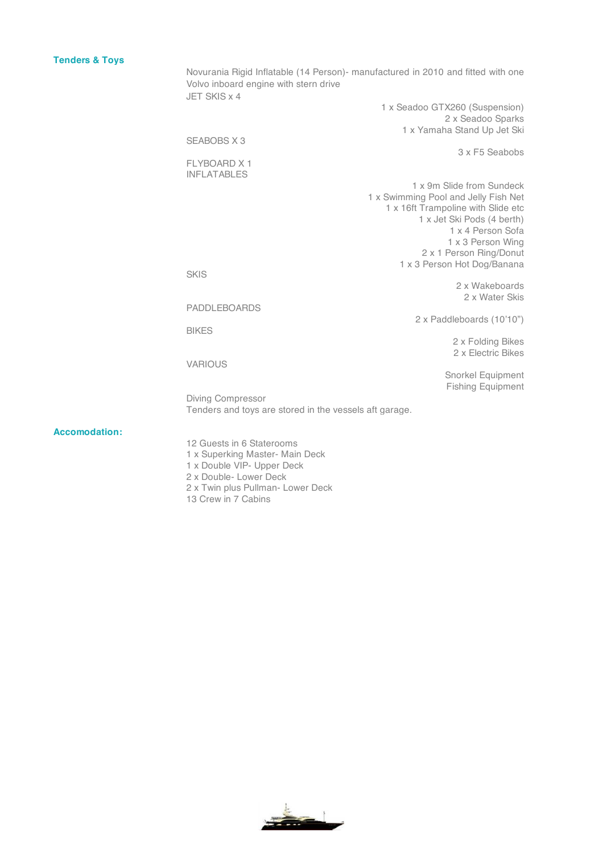## **Tenders & Toys**

Novurania Rigid Inflatable (14 Person)- manufactured in 2010 and fitted with one Volvo inboard engine with stern drive JET SKIS x 4 1 x Seadoo GTX260 (Suspension)

2 x Seadoo Sparks 1 x Yamaha Stand Up Jet Ski SEABOBS X 3 3 x F5 Seabobs FLYBOARD X 1 INFLATABLES 1 x 9m Slide from Sundeck 1 x Swimming Pool and Jelly Fish Net 1 x 16ft Trampoline with Slide etc 1 x Jet Ski Pods (4 berth) 1 x 4 Person Sofa 1 x 3 Person Wing 2 x 1 Person Ring/Donut 1 x 3 Person Hot Dog/Banana SKIS 2 x Wakeboards 2 x Water Skis PADDLEBOARDS 2 x Paddleboards (10'10") BIKES 2 x Folding Bikes 2 x Electric Bikes VARIOUS Snorkel Equipment Fishing Equipment Diving Compressor Tenders and toys are stored in the vessels aft garage.

**Accomodation:**

12 Guests in 6 Staterooms

- 1 x Superking Master- Main Deck
- 1 x Double VIP- Upper Deck
- 2 x Double- Lower Deck
- 2 x Twin plus Pullman- Lower Deck
- 13 Crew in 7 Cabins

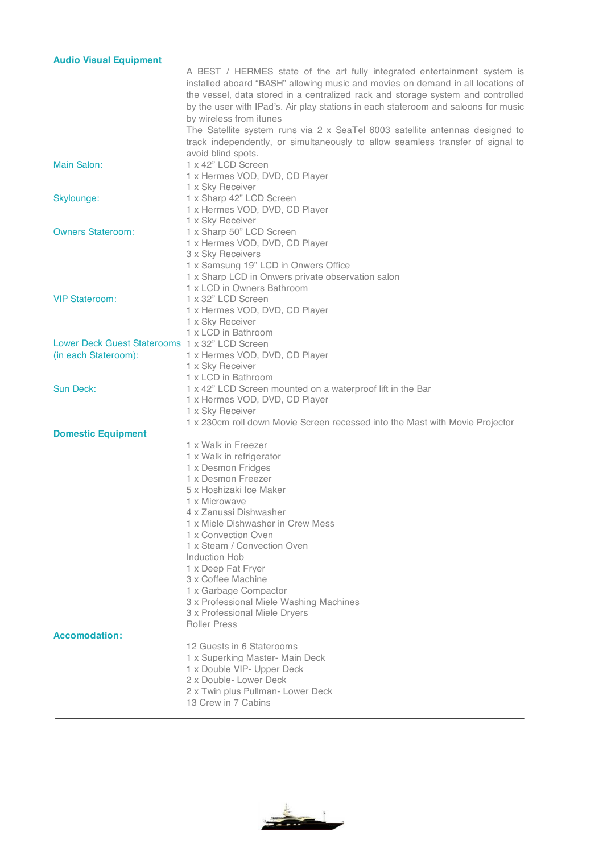| <b>Audio Visual Equipment</b>                  |                                                                                                                                                                                                                                                                                                                                       |
|------------------------------------------------|---------------------------------------------------------------------------------------------------------------------------------------------------------------------------------------------------------------------------------------------------------------------------------------------------------------------------------------|
|                                                | A BEST / HERMES state of the art fully integrated entertainment system is<br>installed aboard "BASH" allowing music and movies on demand in all locations of<br>the vessel, data stored in a centralized rack and storage system and controlled<br>by the user with IPad's. Air play stations in each stateroom and saloons for music |
|                                                | by wireless from itunes<br>The Satellite system runs via 2 x SeaTel 6003 satellite antennas designed to<br>track independently, or simultaneously to allow seamless transfer of signal to<br>avoid blind spots.                                                                                                                       |
| Main Salon:                                    | 1 x 42" LCD Screen<br>1 x Hermes VOD, DVD, CD Player<br>1 x Sky Receiver                                                                                                                                                                                                                                                              |
| Skylounge:                                     | 1 x Sharp 42" LCD Screen<br>1 x Hermes VOD, DVD, CD Player<br>1 x Sky Receiver                                                                                                                                                                                                                                                        |
| <b>Owners Stateroom:</b>                       | 1 x Sharp 50" LCD Screen<br>1 x Hermes VOD, DVD, CD Player<br>3 x Sky Receivers<br>1 x Samsung 19" LCD in Onwers Office<br>1 x Sharp LCD in Onwers private observation salon<br>1 x LCD in Owners Bathroom                                                                                                                            |
| <b>VIP Stateroom:</b>                          | 1 x 32" LCD Screen<br>1 x Hermes VOD, DVD, CD Player<br>1 x Sky Receiver<br>1 x LCD in Bathroom                                                                                                                                                                                                                                       |
| Lower Deck Guest Staterooms 1 x 32" LCD Screen |                                                                                                                                                                                                                                                                                                                                       |
|                                                |                                                                                                                                                                                                                                                                                                                                       |
| (in each Stateroom):                           | 1 x Hermes VOD, DVD, CD Player                                                                                                                                                                                                                                                                                                        |
|                                                | 1 x Sky Receiver                                                                                                                                                                                                                                                                                                                      |
|                                                | 1 x LCD in Bathroom                                                                                                                                                                                                                                                                                                                   |
| Sun Deck:                                      | 1 x 42" LCD Screen mounted on a waterproof lift in the Bar                                                                                                                                                                                                                                                                            |
|                                                | 1 x Hermes VOD, DVD, CD Player                                                                                                                                                                                                                                                                                                        |
|                                                |                                                                                                                                                                                                                                                                                                                                       |
|                                                | 1 x Sky Receiver                                                                                                                                                                                                                                                                                                                      |
|                                                | 1 x 230cm roll down Movie Screen recessed into the Mast with Movie Projector                                                                                                                                                                                                                                                          |
| <b>Domestic Equipment</b>                      |                                                                                                                                                                                                                                                                                                                                       |
|                                                | 1 x Walk in Freezer                                                                                                                                                                                                                                                                                                                   |
|                                                | 1 x Walk in refrigerator                                                                                                                                                                                                                                                                                                              |
|                                                | 1 x Desmon Fridges                                                                                                                                                                                                                                                                                                                    |
|                                                | 1 x Desmon Freezer                                                                                                                                                                                                                                                                                                                    |
|                                                | 5 x Hoshizaki Ice Maker                                                                                                                                                                                                                                                                                                               |
|                                                |                                                                                                                                                                                                                                                                                                                                       |
|                                                | 1 x Microwave                                                                                                                                                                                                                                                                                                                         |
|                                                | 4 x Zanussi Dishwasher                                                                                                                                                                                                                                                                                                                |
|                                                | 1 x Miele Dishwasher in Crew Mess                                                                                                                                                                                                                                                                                                     |
|                                                | 1 x Convection Oven                                                                                                                                                                                                                                                                                                                   |
|                                                | 1 x Steam / Convection Oven                                                                                                                                                                                                                                                                                                           |
|                                                | Induction Hob                                                                                                                                                                                                                                                                                                                         |
|                                                | 1 x Deep Fat Fryer                                                                                                                                                                                                                                                                                                                    |
|                                                | 3 x Coffee Machine                                                                                                                                                                                                                                                                                                                    |
|                                                | 1 x Garbage Compactor                                                                                                                                                                                                                                                                                                                 |
|                                                | 3 x Professional Miele Washing Machines                                                                                                                                                                                                                                                                                               |
|                                                | 3 x Professional Miele Dryers                                                                                                                                                                                                                                                                                                         |
|                                                | <b>Roller Press</b>                                                                                                                                                                                                                                                                                                                   |
| <b>Accomodation:</b>                           |                                                                                                                                                                                                                                                                                                                                       |
|                                                | 12 Guests in 6 Staterooms                                                                                                                                                                                                                                                                                                             |
|                                                | 1 x Superking Master- Main Deck                                                                                                                                                                                                                                                                                                       |
|                                                | 1 x Double VIP- Upper Deck                                                                                                                                                                                                                                                                                                            |
|                                                |                                                                                                                                                                                                                                                                                                                                       |
|                                                | 2 x Double- Lower Deck                                                                                                                                                                                                                                                                                                                |
|                                                | 2 x Twin plus Pullman- Lower Deck                                                                                                                                                                                                                                                                                                     |
|                                                | 13 Crew in 7 Cabins                                                                                                                                                                                                                                                                                                                   |